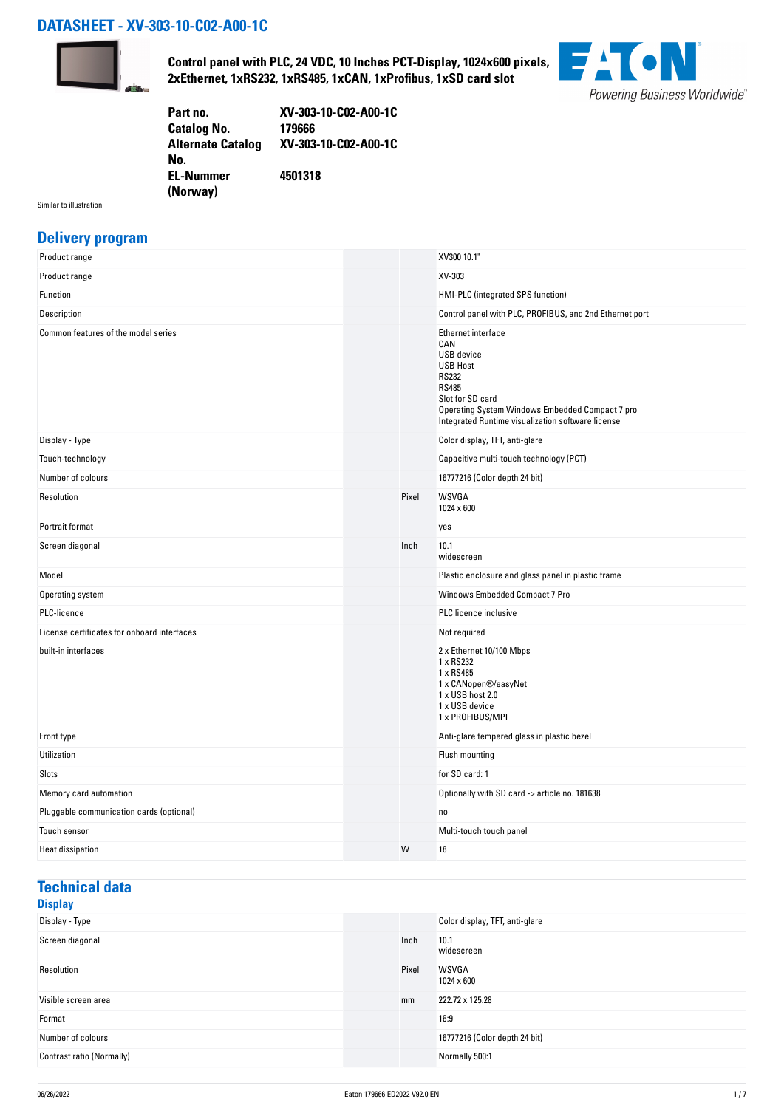### **DATASHEET - XV-303-10-C02-A00-1C**



**Control panel with PLC, 24 VDC, 10 Inches PCT-Display, 1024x600 pixels, 2xEthernet, 1xRS232, 1xRS485, 1xCAN, 1xProfibus, 1xSD card slot**



| Part no.                 | XV-303-10-C02-A00-1C |
|--------------------------|----------------------|
| <b>Catalog No.</b>       | 179666               |
| <b>Alternate Catalog</b> | XV-303-10-C02-A00-1C |
| No.                      |                      |
| <b>EL-Nummer</b>         | 4501318              |
| (Norway)                 |                      |

Similar to illustration

### **Delivery program**

|  | XV300 10.1"                                                                                                                                                                                                                   |
|--|-------------------------------------------------------------------------------------------------------------------------------------------------------------------------------------------------------------------------------|
|  | XV-303                                                                                                                                                                                                                        |
|  | HMI-PLC (integrated SPS function)                                                                                                                                                                                             |
|  | Control panel with PLC, PROFIBUS, and 2nd Ethernet port                                                                                                                                                                       |
|  | Ethernet interface<br>CAN<br><b>USB</b> device<br><b>USB Host</b><br><b>RS232</b><br><b>RS485</b><br>Slot for SD card<br>Operating System Windows Embedded Compact 7 pro<br>Integrated Runtime visualization software license |
|  | Color display, TFT, anti-glare                                                                                                                                                                                                |
|  | Capacitive multi-touch technology (PCT)                                                                                                                                                                                       |
|  | 16777216 (Color depth 24 bit)                                                                                                                                                                                                 |
|  | WSVGA<br>1024 x 600                                                                                                                                                                                                           |
|  | yes                                                                                                                                                                                                                           |
|  | 10.1<br>widescreen                                                                                                                                                                                                            |
|  | Plastic enclosure and glass panel in plastic frame                                                                                                                                                                            |
|  | Windows Embedded Compact 7 Pro                                                                                                                                                                                                |
|  | <b>PLC</b> licence inclusive                                                                                                                                                                                                  |
|  | Not required                                                                                                                                                                                                                  |
|  | 2 x Ethernet 10/100 Mbps<br>1 x RS232<br>1 x RS485<br>1 x CANopen®/easyNet<br>1 x USB host 2.0<br>1 x USB device<br>1 x PROFIBUS/MPI                                                                                          |
|  | Anti-glare tempered glass in plastic bezel                                                                                                                                                                                    |
|  | Flush mounting                                                                                                                                                                                                                |
|  | for SD card: 1                                                                                                                                                                                                                |
|  | Optionally with SD card -> article no. 181638                                                                                                                                                                                 |
|  | no                                                                                                                                                                                                                            |
|  | Multi-touch touch panel                                                                                                                                                                                                       |
|  | 18                                                                                                                                                                                                                            |
|  | Pixel<br>Inch<br>W                                                                                                                                                                                                            |

# **Technical data**

## **Display**

| Display - Type            |       | Color display, TFT, anti-glare |
|---------------------------|-------|--------------------------------|
| Screen diagonal           | Inch  | 10.1<br>widescreen             |
| Resolution                | Pixel | <b>WSVGA</b><br>1024 x 600     |
| Visible screen area       | mm    | 222.72 x 125.28                |
| Format                    |       | 16:9                           |
| Number of colours         |       | 16777216 (Color depth 24 bit)  |
| Contrast ratio (Normally) |       | Normally 500:1                 |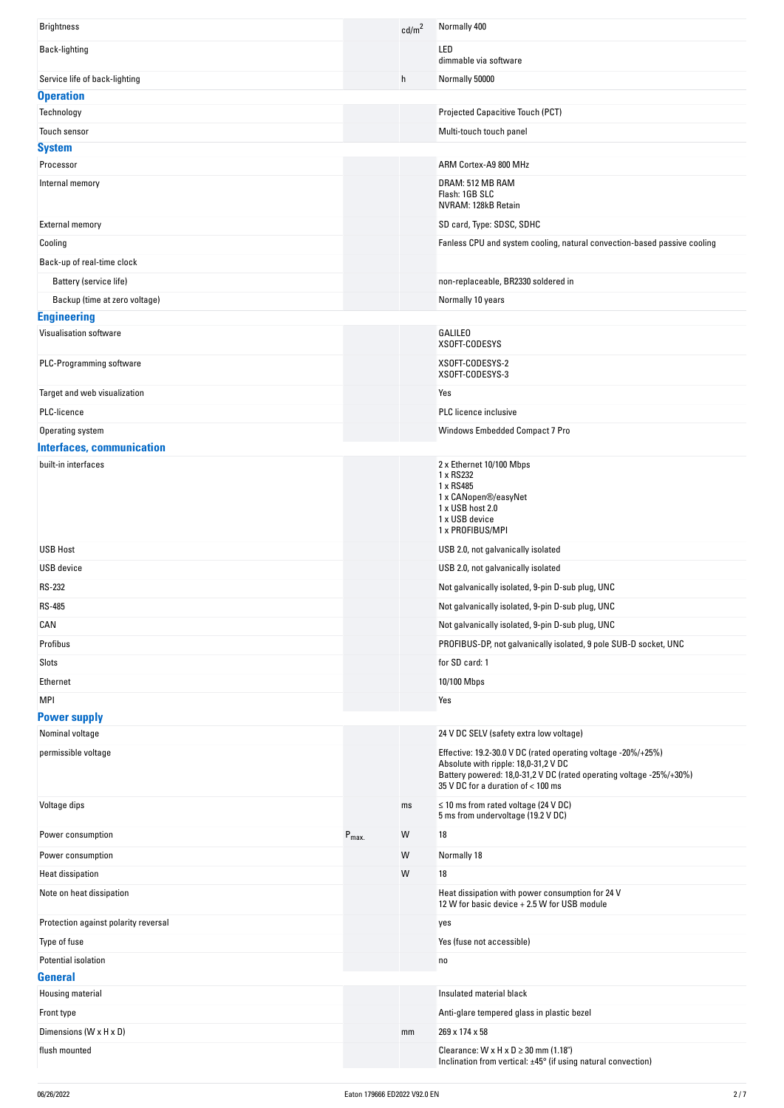| <b>Brightness</b>                    |                  | cd/m <sup>2</sup> | Normally 400                                                                                                                                                                                                       |
|--------------------------------------|------------------|-------------------|--------------------------------------------------------------------------------------------------------------------------------------------------------------------------------------------------------------------|
| Back-lighting                        |                  |                   | LED<br>dimmable via software                                                                                                                                                                                       |
| Service life of back-lighting        |                  | h                 | Normally 50000                                                                                                                                                                                                     |
| <b>Operation</b>                     |                  |                   |                                                                                                                                                                                                                    |
| Technology                           |                  |                   | Projected Capacitive Touch (PCT)                                                                                                                                                                                   |
| Touch sensor                         |                  |                   | Multi-touch touch panel                                                                                                                                                                                            |
| <b>System</b>                        |                  |                   |                                                                                                                                                                                                                    |
| Processor                            |                  |                   | ARM Cortex-A9 800 MHz                                                                                                                                                                                              |
| Internal memory                      |                  |                   | DRAM: 512 MB RAM<br>Flash: 1GB SLC<br>NVRAM: 128kB Retain                                                                                                                                                          |
| <b>External memory</b>               |                  |                   | SD card, Type: SDSC, SDHC                                                                                                                                                                                          |
| Cooling                              |                  |                   | Fanless CPU and system cooling, natural convection-based passive cooling                                                                                                                                           |
| Back-up of real-time clock           |                  |                   |                                                                                                                                                                                                                    |
| Battery (service life)               |                  |                   | non-replaceable, BR2330 soldered in                                                                                                                                                                                |
| Backup (time at zero voltage)        |                  |                   | Normally 10 years                                                                                                                                                                                                  |
| <b>Engineering</b>                   |                  |                   |                                                                                                                                                                                                                    |
| Visualisation software               |                  |                   | <b>GALILEO</b>                                                                                                                                                                                                     |
|                                      |                  |                   | XSOFT-CODESYS                                                                                                                                                                                                      |
| PLC-Programming software             |                  |                   | XSOFT-CODESYS-2<br>XSOFT-CODESYS-3                                                                                                                                                                                 |
| Target and web visualization         |                  |                   | Yes                                                                                                                                                                                                                |
| PLC-licence                          |                  |                   | PLC licence inclusive                                                                                                                                                                                              |
| Operating system                     |                  |                   | Windows Embedded Compact 7 Pro                                                                                                                                                                                     |
| <b>Interfaces, communication</b>     |                  |                   |                                                                                                                                                                                                                    |
| built-in interfaces                  |                  |                   | 2 x Ethernet 10/100 Mbps<br>1 x RS232<br>1 x RS485<br>1 x CANopen®/easyNet<br>1 x USB host 2.0<br>1 x USB device<br>1 x PROFIBUS/MPI                                                                               |
| <b>USB Host</b>                      |                  |                   | USB 2.0, not galvanically isolated                                                                                                                                                                                 |
| <b>USB</b> device                    |                  |                   | USB 2.0, not galvanically isolated                                                                                                                                                                                 |
| <b>RS-232</b>                        |                  |                   | Not galvanically isolated, 9-pin D-sub plug, UNC                                                                                                                                                                   |
| <b>RS-485</b>                        |                  |                   | Not galvanically isolated, 9-pin D-sub plug, UNC                                                                                                                                                                   |
| CAN                                  |                  |                   | Not galvanically isolated, 9-pin D-sub plug, UNC                                                                                                                                                                   |
| Profibus                             |                  |                   | PROFIBUS-DP, not galvanically isolated, 9 pole SUB-D socket, UNC                                                                                                                                                   |
| Slots                                |                  |                   | for SD card: 1                                                                                                                                                                                                     |
| Ethernet                             |                  |                   | 10/100 Mbps                                                                                                                                                                                                        |
| <b>MPI</b>                           |                  |                   | Yes                                                                                                                                                                                                                |
| <b>Power supply</b>                  |                  |                   |                                                                                                                                                                                                                    |
| Nominal voltage                      |                  |                   | 24 V DC SELV (safety extra low voltage)                                                                                                                                                                            |
| permissible voltage                  |                  |                   | Effective: 19.2-30.0 V DC (rated operating voltage -20%/+25%)<br>Absolute with ripple: 18,0-31,2 V DC<br>Battery powered: 18,0-31,2 V DC (rated operating voltage -25%/+30%)<br>35 V DC for a duration of < 100 ms |
| Voltage dips                         |                  | ms                | $\leq$ 10 ms from rated voltage (24 V DC)<br>5 ms from undervoltage (19.2 V DC)                                                                                                                                    |
| Power consumption                    | $P_{\text{max}}$ | W                 | 18                                                                                                                                                                                                                 |
| Power consumption                    |                  | W                 | Normally 18                                                                                                                                                                                                        |
| <b>Heat dissipation</b>              |                  | W                 | 18                                                                                                                                                                                                                 |
| Note on heat dissipation             |                  |                   | Heat dissipation with power consumption for 24 V<br>12 W for basic device + 2.5 W for USB module                                                                                                                   |
| Protection against polarity reversal |                  |                   | yes                                                                                                                                                                                                                |
| Type of fuse                         |                  |                   | Yes (fuse not accessible)                                                                                                                                                                                          |
| Potential isolation                  |                  |                   | no                                                                                                                                                                                                                 |
| <b>General</b>                       |                  |                   |                                                                                                                                                                                                                    |
| Housing material                     |                  |                   | Insulated material black                                                                                                                                                                                           |
| Front type                           |                  |                   | Anti-glare tempered glass in plastic bezel                                                                                                                                                                         |
| Dimensions (W x H x D)               |                  | mm                | 269 x 174 x 58                                                                                                                                                                                                     |
| flush mounted                        |                  |                   | Clearance: $W \times H \times D \ge 30$ mm (1.18")<br>Inclination from vertical: ±45° (if using natural convection)                                                                                                |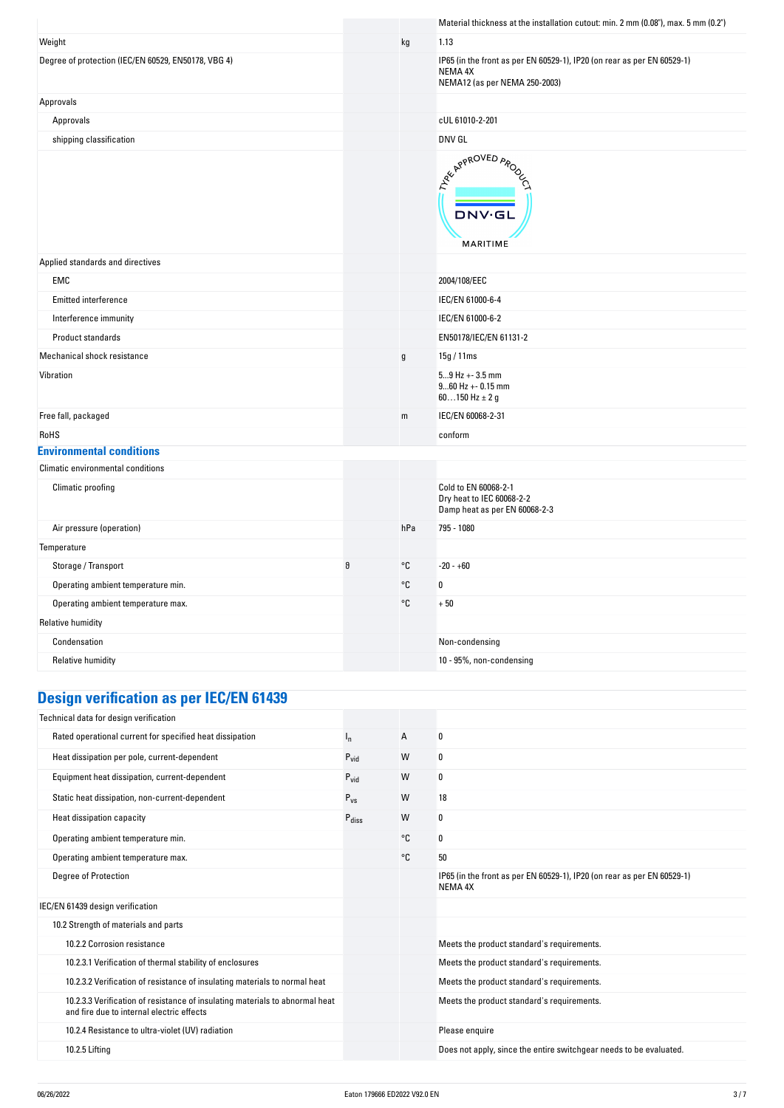|                                                     |   |               | Material thickness at the installation cutout: min. 2 mm (0.08"), max. 5 mm (0.2")                                  |
|-----------------------------------------------------|---|---------------|---------------------------------------------------------------------------------------------------------------------|
| Weight                                              |   | kg            | 1.13                                                                                                                |
| Degree of protection (IEC/EN 60529, EN50178, VBG 4) |   |               | IP65 (in the front as per EN 60529-1), IP20 (on rear as per EN 60529-1)<br>NEMA 4X<br>NEMA12 (as per NEMA 250-2003) |
| Approvals                                           |   |               |                                                                                                                     |
| Approvals                                           |   |               | cUL 61010-2-201                                                                                                     |
| shipping classification                             |   |               | DNV GL                                                                                                              |
|                                                     |   |               | ARY APPROVED APON<br><b>DNV·GL</b><br>MARITIME                                                                      |
| Applied standards and directives                    |   |               |                                                                                                                     |
| EMC                                                 |   |               | 2004/108/EEC                                                                                                        |
| Emitted interference                                |   |               | IEC/EN 61000-6-4                                                                                                    |
| Interference immunity                               |   |               | IEC/EN 61000-6-2                                                                                                    |
| Product standards                                   |   |               | EN50178/IEC/EN 61131-2                                                                                              |
| Mechanical shock resistance                         |   | $\mathfrak g$ | 15g / 11ms                                                                                                          |
| Vibration                                           |   |               | $59$ Hz + - 3.5 mm<br>$960$ Hz + - 0.15 mm<br>60150 Hz $\pm$ 2 g                                                    |
| Free fall, packaged                                 |   | m             | IEC/EN 60068-2-31                                                                                                   |
| RoHS                                                |   |               | conform                                                                                                             |
| <b>Environmental conditions</b>                     |   |               |                                                                                                                     |
| Climatic environmental conditions                   |   |               |                                                                                                                     |
| Climatic proofing                                   |   |               | Cold to EN 60068-2-1<br>Dry heat to IEC 60068-2-2<br>Damp heat as per EN 60068-2-3                                  |
| Air pressure (operation)                            |   | hPa           | 795 - 1080                                                                                                          |
| Temperature                                         |   |               |                                                                                                                     |
| Storage / Transport                                 | θ | $^{\circ}$ C  | $-20 - +60$                                                                                                         |
| Operating ambient temperature min.                  |   | $^{\circ}$ C  | $\pmb{0}$                                                                                                           |
| Operating ambient temperature max.                  |   | °C            | $+50$                                                                                                               |
| <b>Relative humidity</b>                            |   |               |                                                                                                                     |
| Condensation                                        |   |               | Non-condensing                                                                                                      |
| <b>Relative humidity</b>                            |   |               | 10 - 95%, non-condensing                                                                                            |
|                                                     |   |               |                                                                                                                     |

# **Design verification as per IEC/EN 61439**

| Technical data for design verification                                                                                    |                   |    |                                                                                    |
|---------------------------------------------------------------------------------------------------------------------------|-------------------|----|------------------------------------------------------------------------------------|
| Rated operational current for specified heat dissipation                                                                  | ı,                | A  | 0                                                                                  |
| Heat dissipation per pole, current-dependent                                                                              | $P_{\text{vid}}$  | W  | 0                                                                                  |
| Equipment heat dissipation, current-dependent                                                                             | $P_{\text{vid}}$  | W  | 0                                                                                  |
| Static heat dissipation, non-current-dependent                                                                            | $P_{VS}$          | W  | 18                                                                                 |
| Heat dissipation capacity                                                                                                 | $P_{\text{diss}}$ | W  | 0                                                                                  |
| Operating ambient temperature min.                                                                                        |                   | °C | 0                                                                                  |
| Operating ambient temperature max.                                                                                        |                   | °C | 50                                                                                 |
| <b>Degree of Protection</b>                                                                                               |                   |    | IP65 (in the front as per EN 60529-1), IP20 (on rear as per EN 60529-1)<br>NEMA 4X |
| IEC/EN 61439 design verification                                                                                          |                   |    |                                                                                    |
| 10.2 Strength of materials and parts                                                                                      |                   |    |                                                                                    |
| 10.2.2 Corrosion resistance                                                                                               |                   |    | Meets the product standard's requirements.                                         |
| 10.2.3.1 Verification of thermal stability of enclosures                                                                  |                   |    | Meets the product standard's requirements.                                         |
| 10.2.3.2 Verification of resistance of insulating materials to normal heat                                                |                   |    | Meets the product standard's requirements.                                         |
| 10.2.3.3 Verification of resistance of insulating materials to abnormal heat<br>and fire due to internal electric effects |                   |    | Meets the product standard's requirements.                                         |
| 10.2.4 Resistance to ultra-violet (UV) radiation                                                                          |                   |    | Please enquire                                                                     |
| 10.2.5 Lifting                                                                                                            |                   |    | Does not apply, since the entire switchgear needs to be evaluated.                 |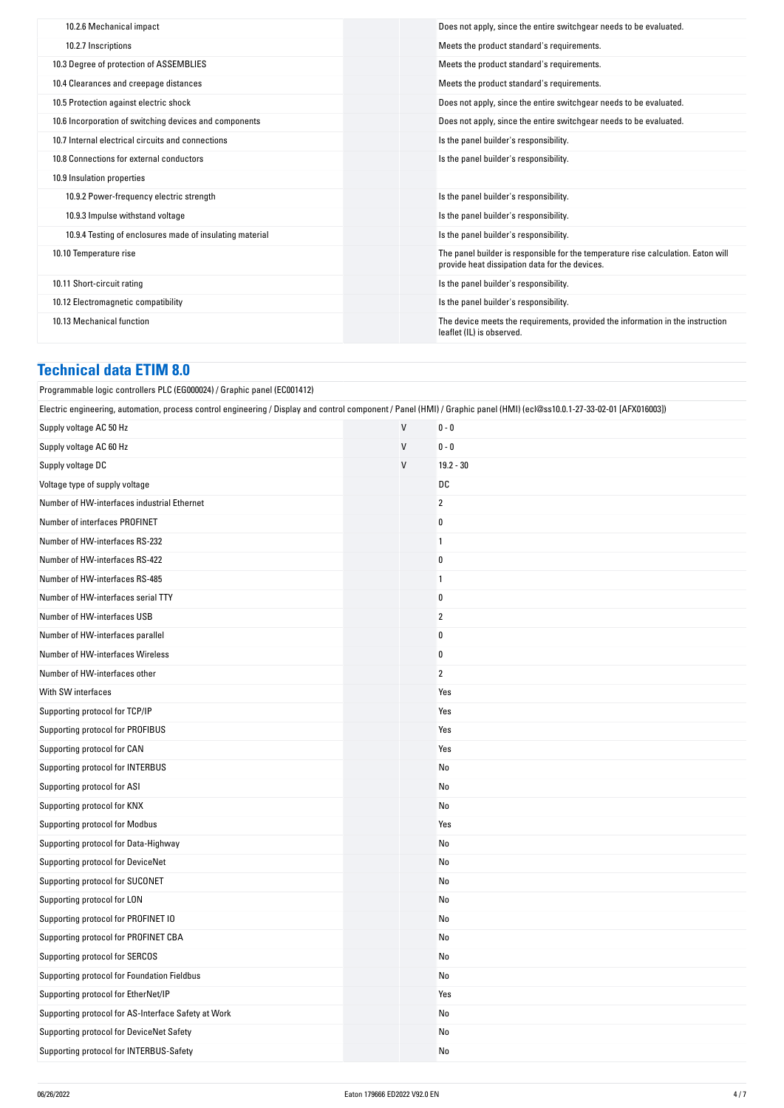| 10.2.6 Mechanical impact                                 | Does not apply, since the entire switchgear needs to be evaluated.                                                                  |
|----------------------------------------------------------|-------------------------------------------------------------------------------------------------------------------------------------|
| 10.2.7 Inscriptions                                      | Meets the product standard's requirements.                                                                                          |
| 10.3 Degree of protection of ASSEMBLIES                  | Meets the product standard's requirements.                                                                                          |
| 10.4 Clearances and creepage distances                   | Meets the product standard's requirements.                                                                                          |
| 10.5 Protection against electric shock                   | Does not apply, since the entire switchgear needs to be evaluated.                                                                  |
| 10.6 Incorporation of switching devices and components   | Does not apply, since the entire switchgear needs to be evaluated.                                                                  |
| 10.7 Internal electrical circuits and connections        | Is the panel builder's responsibility.                                                                                              |
| 10.8 Connections for external conductors                 | Is the panel builder's responsibility.                                                                                              |
| 10.9 Insulation properties                               |                                                                                                                                     |
| 10.9.2 Power-frequency electric strength                 | Is the panel builder's responsibility.                                                                                              |
| 10.9.3 Impulse withstand voltage                         | Is the panel builder's responsibility.                                                                                              |
| 10.9.4 Testing of enclosures made of insulating material | Is the panel builder's responsibility.                                                                                              |
| 10.10 Temperature rise                                   | The panel builder is responsible for the temperature rise calculation. Eaton will<br>provide heat dissipation data for the devices. |
| 10.11 Short-circuit rating                               | Is the panel builder's responsibility.                                                                                              |
| 10.12 Electromagnetic compatibility                      | Is the panel builder's responsibility.                                                                                              |
| 10.13 Mechanical function                                | The device meets the requirements, provided the information in the instruction<br>leaflet (IL) is observed.                         |
|                                                          |                                                                                                                                     |

## **Technical data ETIM 8.0**

| Programmable logic controllers PLC (EG000024) / Graphic panel (EC001412)                                                                                                 |              |                |  |  |
|--------------------------------------------------------------------------------------------------------------------------------------------------------------------------|--------------|----------------|--|--|
| Electric engineering, automation, process control engineering / Display and control component / Panel (HMI) / Graphic panel (HMI) (ecl@ss10.0.1-27-33-02-01 [AFX016003]) |              |                |  |  |
| Supply voltage AC 50 Hz                                                                                                                                                  | $\mathsf{V}$ | $0 - 0$        |  |  |
| Supply voltage AC 60 Hz                                                                                                                                                  | $\mathsf{V}$ | $0 - 0$        |  |  |
| Supply voltage DC                                                                                                                                                        | V            | $19.2 - 30$    |  |  |
| Voltage type of supply voltage                                                                                                                                           |              | DC             |  |  |
| Number of HW-interfaces industrial Ethernet                                                                                                                              |              | $\overline{2}$ |  |  |
| Number of interfaces PROFINET                                                                                                                                            |              | $\pmb{0}$      |  |  |
| Number of HW-interfaces RS-232                                                                                                                                           |              | $\mathbf{1}$   |  |  |
| Number of HW-interfaces RS-422                                                                                                                                           |              | $\pmb{0}$      |  |  |
| Number of HW-interfaces RS-485                                                                                                                                           |              | $\mathbf{1}$   |  |  |
| Number of HW-interfaces serial TTY                                                                                                                                       |              | 0              |  |  |
| Number of HW-interfaces USB                                                                                                                                              |              | $\overline{2}$ |  |  |
| Number of HW-interfaces parallel                                                                                                                                         |              | 0              |  |  |
| Number of HW-interfaces Wireless                                                                                                                                         |              | $\bf{0}$       |  |  |
| Number of HW-interfaces other                                                                                                                                            |              | $\overline{2}$ |  |  |
| With SW interfaces                                                                                                                                                       |              | Yes            |  |  |
| Supporting protocol for TCP/IP                                                                                                                                           |              | Yes            |  |  |
| Supporting protocol for PROFIBUS                                                                                                                                         |              | Yes            |  |  |
| Supporting protocol for CAN                                                                                                                                              |              | Yes            |  |  |
| Supporting protocol for INTERBUS                                                                                                                                         |              | No             |  |  |
| Supporting protocol for ASI                                                                                                                                              |              | No             |  |  |
| Supporting protocol for KNX                                                                                                                                              |              | No             |  |  |
| Supporting protocol for Modbus                                                                                                                                           |              | Yes            |  |  |
| Supporting protocol for Data-Highway                                                                                                                                     |              | No             |  |  |
| Supporting protocol for DeviceNet                                                                                                                                        |              | No             |  |  |
| Supporting protocol for SUCONET                                                                                                                                          |              | No             |  |  |
| Supporting protocol for LON                                                                                                                                              |              | No             |  |  |
| Supporting protocol for PROFINET IO                                                                                                                                      |              | No             |  |  |
| Supporting protocol for PROFINET CBA                                                                                                                                     |              | No             |  |  |
| Supporting protocol for SERCOS                                                                                                                                           |              | No             |  |  |
| Supporting protocol for Foundation Fieldbus                                                                                                                              |              | No             |  |  |
| Supporting protocol for EtherNet/IP                                                                                                                                      |              | Yes            |  |  |
| Supporting protocol for AS-Interface Safety at Work                                                                                                                      |              | No             |  |  |
| Supporting protocol for DeviceNet Safety                                                                                                                                 |              | No             |  |  |
| Supporting protocol for INTERBUS-Safety                                                                                                                                  |              | No             |  |  |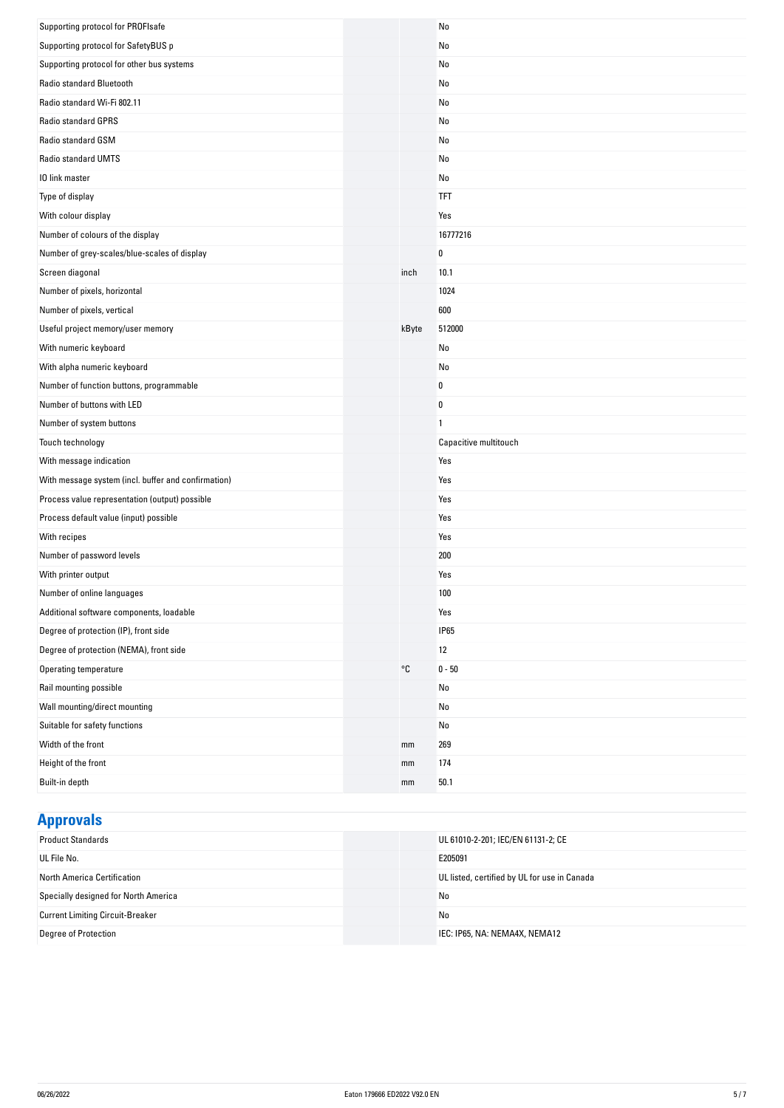| Supporting protocol for PROFIsafe                   |       | No                    |
|-----------------------------------------------------|-------|-----------------------|
| Supporting protocol for SafetyBUS p                 |       | No                    |
| Supporting protocol for other bus systems           |       | No                    |
| Radio standard Bluetooth                            |       | No                    |
| Radio standard Wi-Fi 802.11                         |       | No                    |
| Radio standard GPRS                                 |       | No                    |
| Radio standard GSM                                  |       | No                    |
| Radio standard UMTS                                 |       | No                    |
| 10 link master                                      |       | No                    |
| Type of display                                     |       | <b>TFT</b>            |
| With colour display                                 |       | Yes                   |
| Number of colours of the display                    |       | 16777216              |
| Number of grey-scales/blue-scales of display        |       | 0                     |
| Screen diagonal                                     | inch  | 10.1                  |
| Number of pixels, horizontal                        |       | 1024                  |
| Number of pixels, vertical                          |       | 600                   |
| Useful project memory/user memory                   | kByte | 512000                |
| With numeric keyboard                               |       | No                    |
| With alpha numeric keyboard                         |       | No                    |
| Number of function buttons, programmable            |       | 0                     |
| Number of buttons with LED                          |       | $\pmb{0}$             |
| Number of system buttons                            |       | $\mathbf{1}$          |
| Touch technology                                    |       | Capacitive multitouch |
| With message indication                             |       | Yes                   |
| With message system (incl. buffer and confirmation) |       | Yes                   |
| Process value representation (output) possible      |       | Yes                   |
| Process default value (input) possible              |       | Yes                   |
| With recipes                                        |       | Yes                   |
| Number of password levels                           |       | 200                   |
| With printer output                                 |       | Yes                   |
| Number of online languages                          |       | 100                   |
| Additional software components, loadable            |       | Yes                   |
| Degree of protection (IP), front side               |       | <b>IP65</b>           |
| Degree of protection (NEMA), front side             |       | 12                    |
| Operating temperature                               | °C    | $0 - 50$              |
| Rail mounting possible                              |       | No                    |
| Wall mounting/direct mounting                       |       | No                    |
| Suitable for safety functions                       |       | No                    |
| Width of the front                                  | mm    | 269                   |
| Height of the front                                 | mm    | 174                   |
| Built-in depth                                      | mm    | 50.1                  |

# **Approvals**

| <b>Product Standards</b>                | UL 61010-2-201; IEC/EN 61131-2; CE           |
|-----------------------------------------|----------------------------------------------|
| UL File No.                             | E205091                                      |
| North America Certification             | UL listed, certified by UL for use in Canada |
| Specially designed for North America    | No                                           |
| <b>Current Limiting Circuit-Breaker</b> | No                                           |
| Degree of Protection                    | IEC: IP65, NA: NEMA4X, NEMA12                |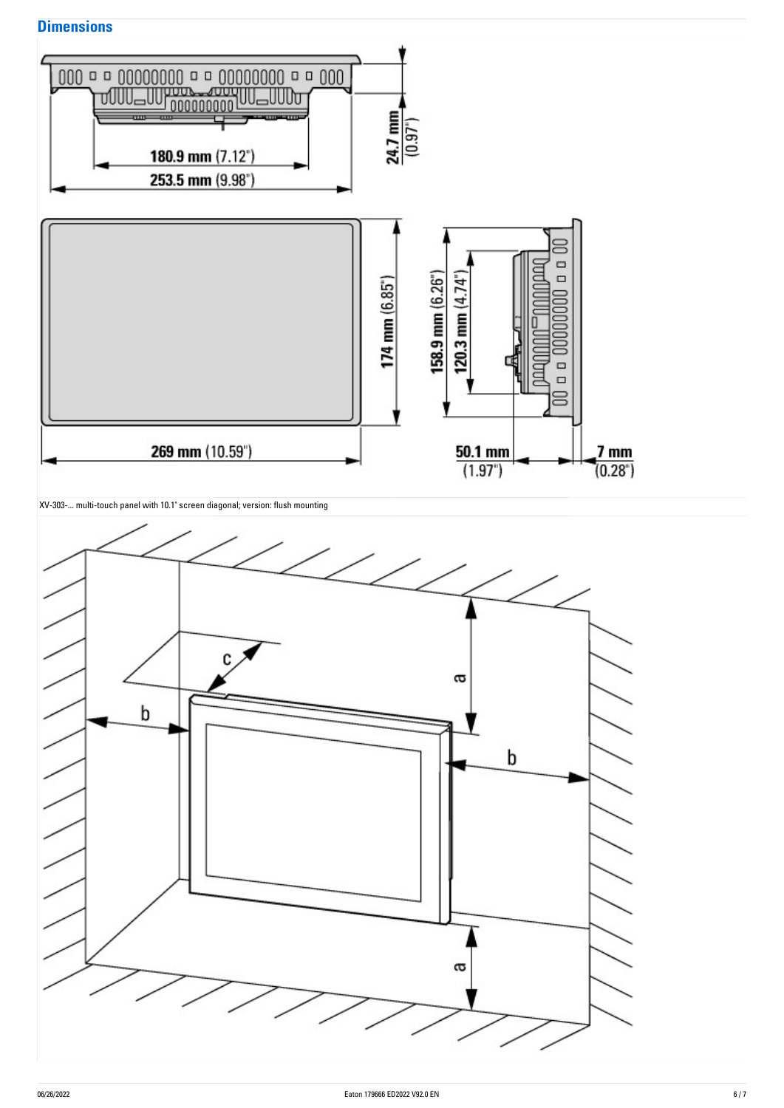### **Dimensions**